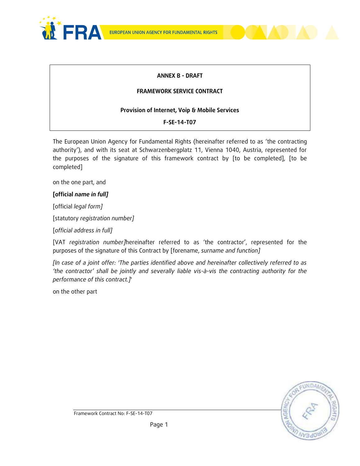



### **ANNEX B - DRAFT**

#### **FRAMEWORK SERVICE CONTRACT**

#### **Provision of Internet, Voip & Mobile Services**

#### **F-SE-14-T07**

The European Union Agency for Fundamental Rights (hereinafter referred to as 'the contracting authority'), and with its seat at Schwarzenbergplatz 11, Vienna 1040, Austria, represented for the purposes of the signature of this framework contract by [to be completed], [to be completed]

on the one part, and

#### **[official** *name in full]*

[official *legal form]*

[statutory *registration number]*

[*official address in full]* 

[VAT *registration number]*hereinafter referred to as 'the contractor', represented for the purposes of the signature of this Contract by [forename, *surname and function]*

*[In case of a joint offer: 'The parties identified above and hereinafter collectively referred to as 'the contractor' shall be jointly and severally liable vis-à-vis the contracting authority for the performance of this contract.]*'

on the other part

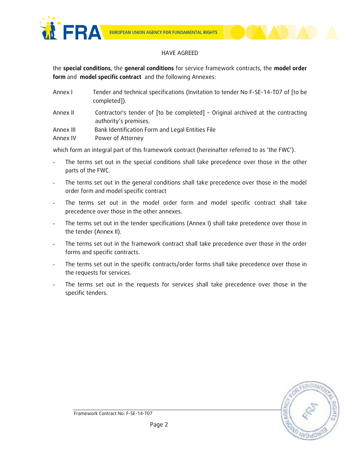

#### HAVE AGREED

the **special conditions**, the **general conditions** for service framework contracts, the **model order form** and **model specific contract** and the following Annexes:

| Annex I   | Tender and technical specifications (Invitation to tender No F-SE-14-T07 of [to be<br>completed]).       |
|-----------|----------------------------------------------------------------------------------------------------------|
| Annex II  | Contractor's tender of [to be completed] - Original archived at the contracting<br>authority's premises. |
| Annex III | Bank Identification Form and Legal Entities File                                                         |
| Annex IV  | Power of Attorney                                                                                        |

which form an integral part of this framework contract (hereinafter referred to as 'the FWC').

- The terms set out in the special conditions shall take precedence over those in the other parts of the FWC.
- The terms set out in the general conditions shall take precedence over those in the model order form and model specific contract
- The terms set out in the model order form and model specific contract shall take precedence over those in the other annexes.
- The terms set out in the tender specifications (Annex I) shall take precedence over those in the tender (Annex II).
- The terms set out in the framework contract shall take precedence over those in the order forms and specific contracts.
- The terms set out in the specific contracts/order forms shall take precedence over those in the requests for services.
- The terms set out in the requests for services shall take precedence over those in the specific tenders.

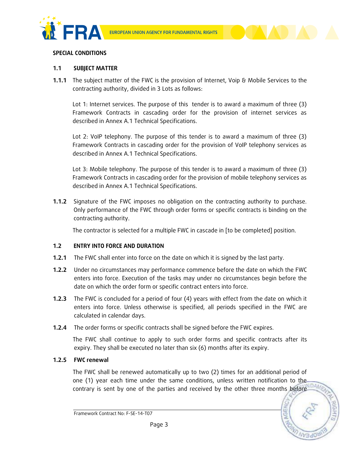



#### **SPECIAL CONDITIONS**

#### **1.1 SUBJECT MATTER**

**1.1.1** The subject matter of the FWC is the provision of Internet, Voip & Mobile Services to the contracting authority, divided in 3 Lots as follows:

Lot 1: Internet services. The purpose of this tender is to award a maximum of three (3) Framework Contracts in cascading order for the provision of internet services as described in Annex A.1 Technical Specifications.

Lot 2: VoIP telephony. The purpose of this tender is to award a maximum of three (3) Framework Contracts in cascading order for the provision of VoIP telephony services as described in Annex A.1 Technical Specifications.

Lot 3: Mobile telephony. The purpose of this tender is to award a maximum of three (3) Framework Contracts in cascading order for the provision of mobile telephony services as described in Annex A.1 Technical Specifications.

**1.1.2** Signature of the FWC imposes no obligation on the contracting authority to purchase. Only performance of the FWC through order forms or specific contracts is binding on the contracting authority.

The contractor is selected for a multiple FWC in cascade in [to be completed] position.

### **1.2 ENTRY INTO FORCE AND DURATION**

- **1.2.1** The FWC shall enter into force on the date on which it is signed by the last party.
- **1.2.2** Under no circumstances may performance commence before the date on which the FWC enters into force. Execution of the tasks may under no circumstances begin before the date on which the order form or specific contract enters into force.
- **1.2.3** The FWC is concluded for a period of four (4) years with effect from the date on which it enters into force. Unless otherwise is specified, all periods specified in the FWC are calculated in calendar days.
- **1.2.4** The order forms or specific contracts shall be signed before the FWC expires.

The FWC shall continue to apply to such order forms and specific contracts after its expiry. They shall be executed no later than six (6) months after its expiry.

#### **1.2.5 FWC renewal**

The FWC shall be renewed automatically up to two (2) times for an additional period of one (1) year each time under the same conditions, unless written notification to the  $\sim$ contrary is sent by one of the parties and received by the other three months before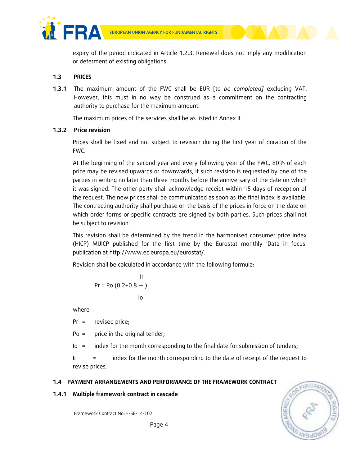



expiry of the period indicated in Article 1.2.3. Renewal does not imply any modification or deferment of existing obligations.

# **1.3 PRICES**

**1.3.1** The maximum amount of the FWC shall be EUR [to *be completed]* excluding VAT. However, this must in no way be construed as a commitment on the contracting authority to purchase for the maximum amount.

The maximum prices of the services shall be as listed in Annex II.

# **1.3.2 Price revision**

Prices shall be fixed and not subject to revision during the first year of duration of the FWC.

At the beginning of the second year and every following year of the FWC, 80% of each price may be revised upwards or downwards, if such revision is requested by one of the parties in writing no later than three months before the anniversary of the date on which it was signed. The other party shall acknowledge receipt within 15 days of reception of the request. The new prices shall be communicated as soon as the final index is available. The contracting authority shall purchase on the basis of the prices in force on the date on which order forms or specific contracts are signed by both parties. Such prices shall not be subject to revision.

This revision shall be determined by the trend in the harmonised consumer price index (HICP) MUICP published for the first time by the Eurostat monthly 'Data in focus' publication at http://www.ec.europa.eu/eurostat/.

Revision shall be calculated in accordance with the following formula:

$$
\begin{array}{c}\n \text{lr} \\
\text{Pr} = \text{Po} (0.2 + 0.8 - ) \\
\text{lo}\n \end{array}
$$

where

Pr = revised price;

Po = price in the original tender;

Io = index for the month corresponding to the final date for submission of tenders;

Ir = index for the month corresponding to the date of receipt of the request to revise prices.

# **1.4 PAYMENT ARRANGEMENTS AND PERFORMANCE OF THE FRAMEWORK CONTRACT**

## **1.4.1 Multiple framework contract in cascade**

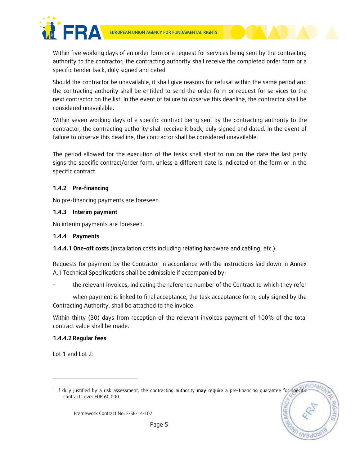

Within five working days of an order form or a request for services being sent by the contracting authority to the contractor, the contracting authority shall receive the completed order form or a specific tender back, duly signed and dated.

Should the contractor be unavailable, it shall give reasons for refusal within the same period and the contracting authority shall be entitled to send the order form or request for services to the next contractor on the list. In the event of failure to observe this deadline, the contractor shall be considered unavailable.

Within seven working days of a specific contract being sent by the contracting authority to the contractor, the contracting authority shall receive it back, duly signed and dated. In the event of failure to observe this deadline, the contractor shall be considered unavailable.

The period allowed for the execution of the tasks shall start to run on the date the last party signs the specific contract/order form, unless a different date is indicated on the form or in the specific contract.

### **1.4.2** Pre-financing

No pre-financing payments are foreseen.

#### **1.4.3 Interim payment**

No interim payments are foreseen.

#### **1.4.4 Payments**

**1.4.4.1 One-off costs** (installation costs including relating hardware and cabling, etc.):

Requests for payment by the Contractor in accordance with the instructions laid down in Annex A.1 Technical Specifications shall be admissible if accompanied by:

– the relevant invoices, indicating the reference number of the Contract to which they refer

– when payment is linked to final acceptance, the task acceptance form, duly signed by the Contracting Authority, shall be attached to the invoice

Within thirty (30) days from reception of the relevant invoices payment of 100% of the total contract value shall be made.

### **1.4.4.2 Regular fees**:

Lot 1 and Lot 2:

l

<sup>1</sup> If duly justified by a risk assessment, the contracting authority **may** require a pre-financing guarantee for specific contracts over EUR 60,000.

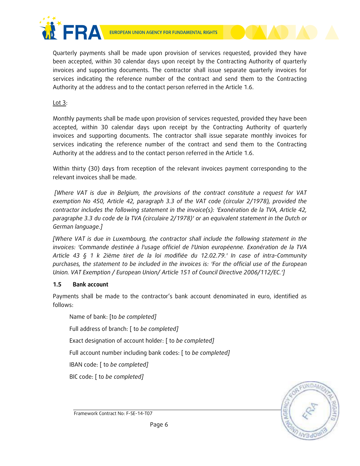

Quarterly payments shall be made upon provision of services requested, provided they have been accepted, within 30 calendar days upon receipt by the Contracting Authority of quarterly invoices and supporting documents. The contractor shall issue separate quarterly invoices for services indicating the reference number of the contract and send them to the Contracting Authority at the address and to the contact person referred in the Article 1.6.

Lot  $3$ :

Monthly payments shall be made upon provision of services requested, provided they have been accepted, within 30 calendar days upon receipt by the Contracting Authority of quarterly invoices and supporting documents. The contractor shall issue separate monthly invoices for services indicating the reference number of the contract and send them to the Contracting Authority at the address and to the contact person referred in the Article 1.6.

Within thirty (30) days from reception of the relevant invoices payment corresponding to the relevant invoices shall be made.

*[Where VAT is due in Belgium, the provisions of the contract constitute a request for VAT exemption No 450, Article 42, paragraph 3.3 of the VAT code (circular 2/1978), provided the contractor includes the following statement in the invoice(s): 'Exonération de la TVA, Article 42, paragraphe 3.3 du code de la TVA (circulaire 2/1978)' or an equivalent statement in the Dutch or German language.]*

*[Where VAT is due in Luxembourg, the contractor shall include the following statement in the invoices: 'Commande destinée à l'usage officiel de l'Union européenne. Exonération de la TVA Article 43 § 1 k 2ième tiret de la loi modifiée du 12.02.79.' In case of intra-Community purchases, the statement to be included in the invoices is: 'For the official use of the European Union. VAT Exemption / European Union/ Article 151 of Council Directive 2006/112/EC.']*

## **1.5 Bank account**

Payments shall be made to the contractor's bank account denominated in euro, identified as follows:

Name of bank: [to *be completed]* Full address of branch: [ to *be completed]* Exact designation of account holder: [ to *be completed]* Full account number including bank codes: [ to *be completed]* IBAN code: [ to *be completed]* BIC code: [ to *be completed]*

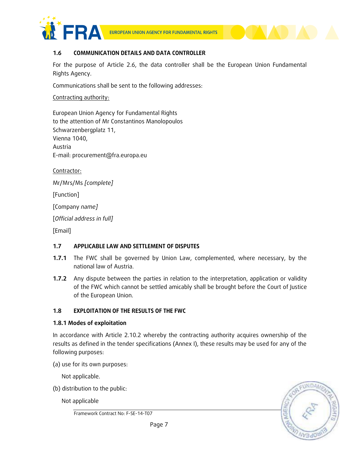



#### **1.6 COMMUNICATION DETAILS AND DATA CONTROLLER**

For the purpose of Article 2.6, the data controller shall be the European Union Fundamental Rights Agency.

Communications shall be sent to the following addresses:

#### Contracting authority:

European Union Agency for Fundamental Rights to the attention of Mr Constantinos Manolopoulos Schwarzenbergplatz 11, Vienna 1040, Austria E-mail: procurement@fra.europa.eu

Contractor:

Mr/Mrs/Ms *[complete]*

[Function]

[Company *name]*

[*Official address in full]*

[Email]

### **1.7 APPLICABLE LAW AND SETTLEMENT OF DISPUTES**

- **1.7.1** The FWC shall be governed by Union Law, complemented, where necessary, by the national law of Austria.
- **1.7.2** Any dispute between the parties in relation to the interpretation, application or validity of the FWC which cannot be settled amicably shall be brought before the Court of Justice of the European Union.

### **1.8 EXPLOITATION OF THE RESULTS OF THE FWC**

### **1.8.1 Modes of exploitation**

In accordance with Article 2.10.2 whereby the contracting authority acquires ownership of the results as defined in the tender specifications (Annex I), these results may be used for any of the following purposes:

(a) use for its own purposes:

Not applicable.

(b) distribution to the public:

Not applicable

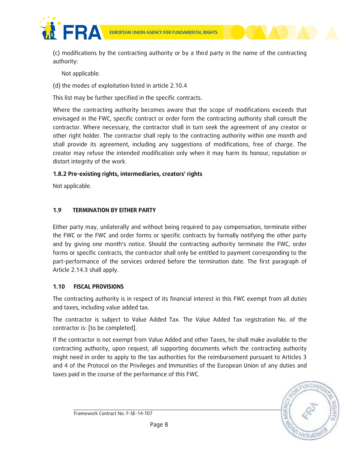

(c) modifications by the contracting authority or by a third party in the name of the contracting authority:

Not applicable.

(d) the modes of exploitation listed in article 2.10.4

This list may be further specified in the specific contracts.

Where the contracting authority becomes aware that the scope of modifications exceeds that envisaged in the FWC, specific contract or order form the contracting authority shall consult the contractor. Where necessary, the contractor shall in turn seek the agreement of any creator or other right holder. The contractor shall reply to the contracting authority within one month and shall provide its agreement, including any suggestions of modifications, free of charge. The creator may refuse the intended modification only when it may harm its honour, reputation or distort integrity of the work.

### **1.8.2 Pre-existing rights, intermediaries, creators' rights**

Not applicable.

## **1.9 TERMINATION BY EITHER PARTY**

Either party may, unilaterally and without being required to pay compensation, terminate either the FWC or the FWC and order forms or specific contracts by formally notifying the other party and by giving one month's notice. Should the contracting authority terminate the FWC, order forms or specific contracts, the contractor shall only be entitled to payment corresponding to the part-performance of the services ordered before the termination date. The first paragraph of Article 2.14.3 shall apply.

### **1.10 FISCAL PROVISIONS**

The contracting authority is in respect of its financial interest in this FWC exempt from all duties and taxes, including value added tax.

The contractor is subject to Value Added Tax. The Value Added Tax registration No. of the contractor is: [to be completed].

If the contractor is not exempt from Value Added and other Taxes, he shall make available to the contracting authority, upon request, all supporting documents which the contracting authority might need in order to apply to the tax authorities for the reimbursement pursuant to Articles 3 and 4 of the Protocol on the Privileges and Immunities of the European Union of any duties and taxes paid in the course of the performance of this FWC.

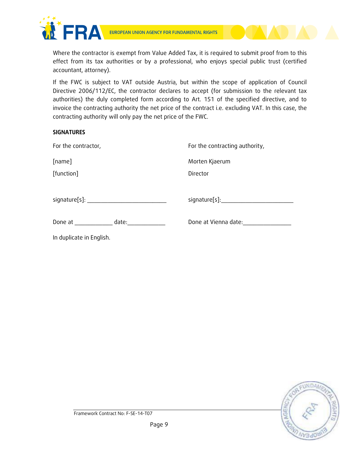

Where the contractor is exempt from Value Added Tax, it is required to submit proof from to this effect from its tax authorities or by a professional, who enjoys special public trust (certified accountant, attorney).

If the FWC is subject to VAT outside Austria, but within the scope of application of Council Directive 2006/112/EC, the contractor declares to accept (for submission to the relevant tax authorities) the duly completed form according to Art. 151 of the specified directive, and to invoice the contracting authority the net price of the contract i.e. excluding VAT. In this case, the contracting authority will only pay the net price of the FWC.

#### **SIGNATURES**

| For the contractor,      | For the contracting authority, |
|--------------------------|--------------------------------|
| [name]                   | Morten Kjaerum                 |
| [function]               | Director                       |
|                          | signature[s]:_________________ |
|                          |                                |
| date: _____________      | Done at Vienna date:           |
| In duplicate in English. |                                |

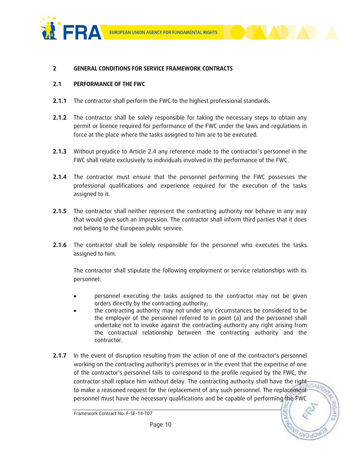



#### **2 GENERAL CONDITIONS FOR SERVICE FRAMEWORK CONTRACTS**

#### **2.1 PERFORMANCE OF THE FWC**

- **2.1.1** The contractor shall perform the FWC to the highest professional standards.
- **2.1.2** The contractor shall be solely responsible for taking the necessary steps to obtain any permit or licence required for performance of the FWC under the laws and regulations in force at the place where the tasks assigned to him are to be executed.
- **2.1.3** Without prejudice to Article 2.4 any reference made to the contractor's personnel in the FWC shall relate exclusively to individuals involved in the performance of the FWC.
- **2.1.4** The contractor must ensure that the personnel performing the FWC possesses the professional qualifications and experience required for the execution of the tasks assigned to it.
- **2.1.5** The contractor shall neither represent the contracting authority nor behave in any way that would give such an impression. The contractor shall inform third parties that it does not belong to the European public service.
- **2.1.6** The contractor shall be solely responsible for the personnel who executes the tasks assigned to him.

The contractor shall stipulate the following employment or service relationships with its personnel:

- personnel executing the tasks assigned to the contractor may not be given orders directly by the contracting authority;
- the contracting authority may not under any circumstances be considered to be the employer of the personnel referred to in point (a) and the personnel shall undertake not to invoke against the contracting authority any right arising from the contractual relationship between the contracting authority and the contractor.
- **2.1.7** In the event of disruption resulting from the action of one of the contractor's personnel working on the contracting authority's premises or in the event that the expertise of one of the contractor's personnel fails to correspond to the profile required by the FWC, the contractor shall replace him without delay. The contracting authority shall have the right to make a reasoned request for the replacement of any such personnel. The replacement personnel must have the necessary qualifications and be capable of performing the FWC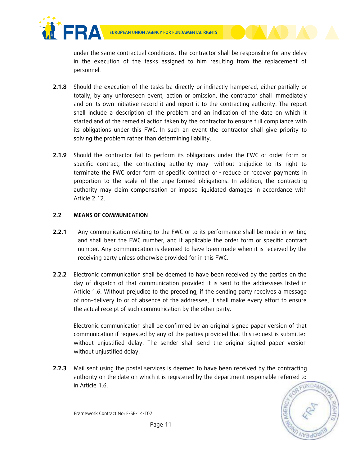



under the same contractual conditions. The contractor shall be responsible for any delay in the execution of the tasks assigned to him resulting from the replacement of personnel.

- **2.1.8** Should the execution of the tasks be directly or indirectly hampered, either partially or totally, by any unforeseen event, action or omission, the contractor shall immediately and on its own initiative record it and report it to the contracting authority. The report shall include a description of the problem and an indication of the date on which it started and of the remedial action taken by the contractor to ensure full compliance with its obligations under this FWC. In such an event the contractor shall give priority to solving the problem rather than determining liability.
- **2.1.9** Should the contractor fail to perform its obligations under the FWC or order form or specific contract, the contracting authority may - without prejudice to its right to terminate the FWC order form or specific contract or - reduce or recover payments in proportion to the scale of the unperformed obligations. In addition, the contracting authority may claim compensation or impose liquidated damages in accordance with Article 2.12.

# **2.2 MEANS OF COMMUNICATION**

- **2.2.1** Any communication relating to the FWC or to its performance shall be made in writing and shall bear the FWC number, and if applicable the order form or specific contract number. Any communication is deemed to have been made when it is received by the receiving party unless otherwise provided for in this FWC.
- **2.2.2** Electronic communication shall be deemed to have been received by the parties on the day of dispatch of that communication provided it is sent to the addressees listed in Article 1.6. Without prejudice to the preceding, if the sending party receives a message of non-delivery to or of absence of the addressee, it shall make every effort to ensure the actual receipt of such communication by the other party.

Electronic communication shall be confirmed by an original signed paper version of that communication if requested by any of the parties provided that this request is submitted without unjustified delay. The sender shall send the original signed paper version without unjustified delay.

**2.2.3** Mail sent using the postal services is deemed to have been received by the contracting authority on the date on which it is registered by the department responsible referred to in Article 1.6.



Framework Contract No: F-SE-14-T07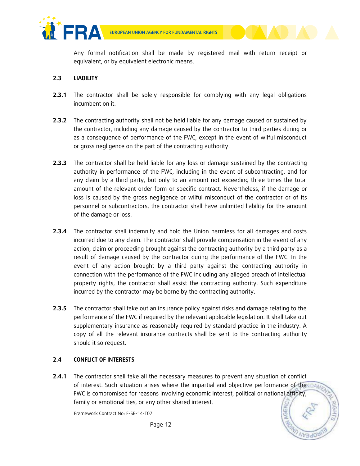

Any formal notification shall be made by registered mail with return receipt or equivalent, or by equivalent electronic means.

### **2.3 LIABILITY**

- **2.3.1** The contractor shall be solely responsible for complying with any legal obligations incumbent on it.
- **2.3.2** The contracting authority shall not be held liable for any damage caused or sustained by the contractor, including any damage caused by the contractor to third parties during or as a consequence of performance of the FWC, except in the event of wilful misconduct or gross negligence on the part of the contracting authority.
- **2.3.3** The contractor shall be held liable for any loss or damage sustained by the contracting authority in performance of the FWC, including in the event of subcontracting, and for any claim by a third party, but only to an amount not exceeding three times the total amount of the relevant order form or specific contract. Nevertheless, if the damage or loss is caused by the gross negligence or wilful misconduct of the contractor or of its personnel or subcontractors, the contractor shall have unlimited liability for the amount of the damage or loss.
- **2.3.4** The contractor shall indemnify and hold the Union harmless for all damages and costs incurred due to any claim. The contractor shall provide compensation in the event of any action, claim or proceeding brought against the contracting authority by a third party as a result of damage caused by the contractor during the performance of the FWC. In the event of any action brought by a third party against the contracting authority in connection with the performance of the FWC including any alleged breach of intellectual property rights, the contractor shall assist the contracting authority. Such expenditure incurred by the contractor may be borne by the contracting authority.
- **2.3.5** The contractor shall take out an insurance policy against risks and damage relating to the performance of the FWC if required by the relevant applicable legislation. It shall take out supplementary insurance as reasonably required by standard practice in the industry. A copy of all the relevant insurance contracts shall be sent to the contracting authority should it so request.

### **2.4 CONFLICT OF INTERESTS**

**2.4.1** The contractor shall take all the necessary measures to prevent any situation of conflict of interest. Such situation arises where the impartial and objective performance of the IDAM FWC is compromised for reasons involving economic interest, political or national affinity, family or emotional ties, or any other shared interest.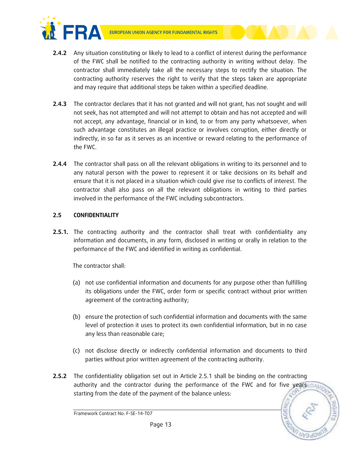

- **2.4.2** Any situation constituting or likely to lead to a conflict of interest during the performance of the FWC shall be notified to the contracting authority in writing without delay. The contractor shall immediately take all the necessary steps to rectify the situation. The contracting authority reserves the right to verify that the steps taken are appropriate and may require that additional steps be taken within a specified deadline.
- **2.4.3** The contractor declares that it has not granted and will not grant, has not sought and will not seek, has not attempted and will not attempt to obtain and has not accepted and will not accept, any advantage, financial or in kind, to or from any party whatsoever, when such advantage constitutes an illegal practice or involves corruption, either directly or indirectly, in so far as it serves as an incentive or reward relating to the performance of the FWC.
- **2.4.4** The contractor shall pass on all the relevant obligations in writing to its personnel and to any natural person with the power to represent it or take decisions on its behalf and ensure that it is not placed in a situation which could give rise to conflicts of interest. The contractor shall also pass on all the relevant obligations in writing to third parties involved in the performance of the FWC including subcontractors.

### **2.5 CONFIDENTIALITY**

**2.5.1.** The contracting authority and the contractor shall treat with confidentiality any information and documents, in any form, disclosed in writing or orally in relation to the performance of the FWC and identified in writing as confidential.

The contractor shall:

- (a) not use confidential information and documents for any purpose other than fulfilling its obligations under the FWC, order form or specific contract without prior written agreement of the contracting authority;
- (b) ensure the protection of such confidential information and documents with the same level of protection it uses to protect its own confidential information, but in no case any less than reasonable care;
- (c) not disclose directly or indirectly confidential information and documents to third parties without prior written agreement of the contracting authority.
- **2.5.2** The confidentiality obligation set out in Article 2.5.1 shall be binding on the contracting authority and the contractor during the performance of the FWC and for five years starting from the date of the payment of the balance unless:

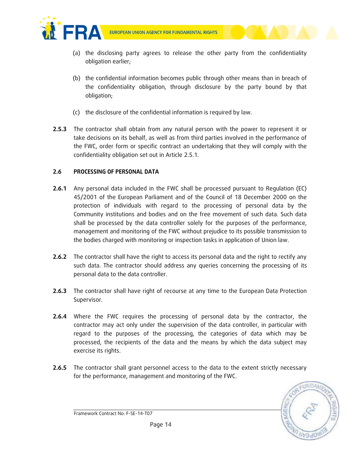

- (a) the disclosing party agrees to release the other party from the confidentiality obligation earlier;
- (b) the confidential information becomes public through other means than in breach of the confidentiality obligation, through disclosure by the party bound by that obligation;
- (c) the disclosure of the confidential information is required by law.
- **2.5.3** The contractor shall obtain from any natural person with the power to represent it or take decisions on its behalf, as well as from third parties involved in the performance of the FWC, order form or specific contract an undertaking that they will comply with the confidentiality obligation set out in Article 2.5.1.

### **2.6 PROCESSING OF PERSONAL DATA**

- **2.6.1** Any personal data included in the FWC shall be processed pursuant to Regulation (EC) 45/2001 of the European Parliament and of the Council of 18 December 2000 on the protection of individuals with regard to the processing of personal data by the Community institutions and bodies and on the free movement of such data. Such data shall be processed by the data controller solely for the purposes of the performance, management and monitoring of the FWC without prejudice to its possible transmission to the bodies charged with monitoring or inspection tasks in application of Union law.
- **2.6.2** The contractor shall have the right to access its personal data and the right to rectify any such data. The contractor should address any queries concerning the processing of its personal data to the data controller.
- **2.6.3** The contractor shall have right of recourse at any time to the European Data Protection Supervisor.
- **2.6.4** Where the FWC requires the processing of personal data by the contractor, the contractor may act only under the supervision of the data controller, in particular with regard to the purposes of the processing, the categories of data which may be processed, the recipients of the data and the means by which the data subject may exercise its rights.
- **2.6.5** The contractor shall grant personnel access to the data to the extent strictly necessary for the performance, management and monitoring of the FWC.

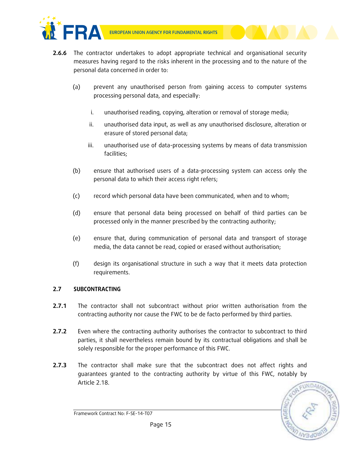



- **2.6.6** The contractor undertakes to adopt appropriate technical and organisational security measures having regard to the risks inherent in the processing and to the nature of the personal data concerned in order to:
	- (a) prevent any unauthorised person from gaining access to computer systems processing personal data, and especially:
		- i. unauthorised reading, copying, alteration or removal of storage media;
		- ii. unauthorised data input, as well as any unauthorised disclosure, alteration or erasure of stored personal data;
		- iii. unauthorised use of data-processing systems by means of data transmission facilities;
	- (b) ensure that authorised users of a data-processing system can access only the personal data to which their access right refers;
	- (c) record which personal data have been communicated, when and to whom;
	- (d) ensure that personal data being processed on behalf of third parties can be processed only in the manner prescribed by the contracting authority;
	- (e) ensure that, during communication of personal data and transport of storage media, the data cannot be read, copied or erased without authorisation;
	- (f) design its organisational structure in such a way that it meets data protection requirements.

## **2.7 SUBCONTRACTING**

- **2.7.1** The contractor shall not subcontract without prior written authorisation from the contracting authority nor cause the FWC to be de facto performed by third parties.
- **2.7.2** Even where the contracting authority authorises the contractor to subcontract to third parties, it shall nevertheless remain bound by its contractual obligations and shall be solely responsible for the proper performance of this FWC.
- **2.7.3** The contractor shall make sure that the subcontract does not affect rights and guarantees granted to the contracting authority by virtue of this FWC, notably by Article 2.18.



Framework Contract No: F-SE-14-T07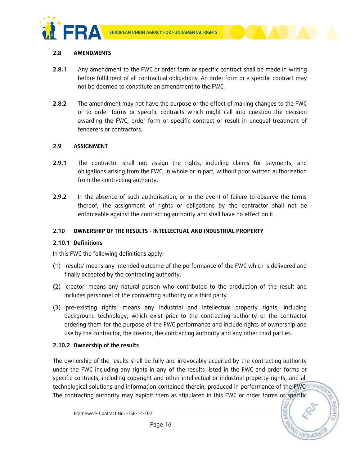





### **2.8 AMENDMENTS**

- **2.8.1** Any amendment to the FWC or order form or specific contract shall be made in writing before fulfilment of all contractual obligations. An order form or a specific contract may not be deemed to constitute an amendment to the FWC.
- **2.8.2** The amendment may not have the purpose or the effect of making changes to the FWC or to order forms or specific contracts which might call into question the decision awarding the FWC, order form or specific contract or result in unequal treatment of tenderers or contractors.

### **2.9 ASSIGNMENT**

- **2.9.1** The contractor shall not assign the rights, including claims for payments, and obligations arising from the FWC, in whole or in part, without prior written authorisation from the contracting authority.
- **2.9.2** In the absence of such authorisation, or in the event of failure to observe the terms thereof, the assignment of rights or obligations by the contractor shall not be enforceable against the contracting authority and shall have no effect on it.

### **2.10 OWNERSHIP OF THE RESULTS - INTELLECTUAL AND INDUSTRIAL PROPERTY**

### **2.10.1 Definitions**

In this FWC the following definitions apply:

- (1) 'results' means any intended outcome of the performance of the FWC which is delivered and finally accepted by the contracting authority.
- (2) 'creator' means any natural person who contributed to the production of the result and includes personnel of the contracting authority or a third party.
- (3) 'pre-existing rights' means any industrial and intellectual property rights, including background technology, which exist prior to the contracting authority or the contractor ordering them for the purpose of the FWC performance and include rights of ownership and use by the contractor, the creator, the contracting authority and any other third parties.

## **2.10.2 Ownership of the results**

The ownership of the results shall be fully and irrevocably acquired by the contracting authority under the FWC including any rights in any of the results listed in the FWC and order forms or specific contracts, including copyright and other intellectual or industrial property rights, and all technological solutions and information contained therein, produced in performance of the FWC.NDAM The contracting authority may exploit them as stipulated in this FWC or order forms or specific

Framework Contract No: F-SE-14-T07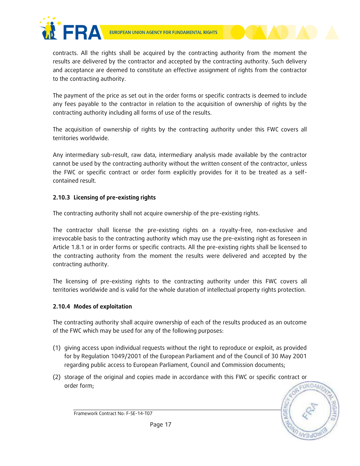



contracts. All the rights shall be acquired by the contracting authority from the moment the results are delivered by the contractor and accepted by the contracting authority. Such delivery and acceptance are deemed to constitute an effective assignment of rights from the contractor to the contracting authority.

The payment of the price as set out in the order forms or specific contracts is deemed to include any fees payable to the contractor in relation to the acquisition of ownership of rights by the contracting authority including all forms of use of the results.

The acquisition of ownership of rights by the contracting authority under this FWC covers all territories worldwide.

Any intermediary sub-result, raw data, intermediary analysis made available by the contractor cannot be used by the contracting authority without the written consent of the contractor, unless the FWC or specific contract or order form explicitly provides for it to be treated as a selfcontained result.

## **2.10.3 Licensing of pre-existing rights**

The contracting authority shall not acquire ownership of the pre-existing rights.

The contractor shall license the pre-existing rights on a royalty-free, non-exclusive and irrevocable basis to the contracting authority which may use the pre-existing right as foreseen in Article 1.8.1 or in order forms or specific contracts. All the pre-existing rights shall be licensed to the contracting authority from the moment the results were delivered and accepted by the contracting authority.

The licensing of pre-existing rights to the contracting authority under this FWC covers all territories worldwide and is valid for the whole duration of intellectual property rights protection.

## **2.10.4 Modes of exploitation**

The contracting authority shall acquire ownership of each of the results produced as an outcome of the FWC which may be used for any of the following purposes:

- (1) giving access upon individual requests without the right to reproduce or exploit, as provided for by Regulation 1049/2001 of the European Parliament and of the Council of 30 May 2001 regarding public access to European Parliament, Council and Commission documents;
- (2) storage of the original and copies made in accordance with this FWC or specific contract or order form;

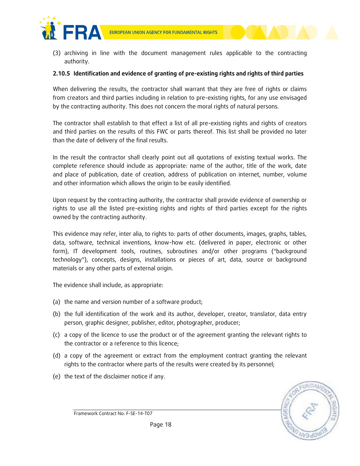

(3) archiving in line with the document management rules applicable to the contracting authority.

#### **2.10.5 Identification and evidence of granting of pre-existing rights and rights of third parties**

When delivering the results, the contractor shall warrant that they are free of rights or claims from creators and third parties including in relation to pre-existing rights, for any use envisaged by the contracting authority. This does not concern the moral rights of natural persons.

The contractor shall establish to that effect a list of all pre-existing rights and rights of creators and third parties on the results of this FWC or parts thereof. This list shall be provided no later than the date of delivery of the final results.

In the result the contractor shall clearly point out all quotations of existing textual works. The complete reference should include as appropriate: name of the author, title of the work, date and place of publication, date of creation, address of publication on internet, number, volume and other information which allows the origin to be easily identified.

Upon request by the contracting authority, the contractor shall provide evidence of ownership or rights to use all the listed pre-existing rights and rights of third parties except for the rights owned by the contracting authority.

This evidence may refer, inter alia, to rights to: parts of other documents, images, graphs, tables, data, software, technical inventions, know-how etc. (delivered in paper, electronic or other form), IT development tools, routines, subroutines and/or other programs ("background technology"), concepts, designs, installations or pieces of art, data, source or background materials or any other parts of external origin.

The evidence shall include, as appropriate:

- (a) the name and version number of a software product;
- (b) the full identification of the work and its author, developer, creator, translator, data entry person, graphic designer, publisher, editor, photographer, producer;
- (c) a copy of the licence to use the product or of the agreement granting the relevant rights to the contractor or a reference to this licence;
- (d) a copy of the agreement or extract from the employment contract granting the relevant rights to the contractor where parts of the results were created by its personnel;
- (e) the text of the disclaimer notice if any.

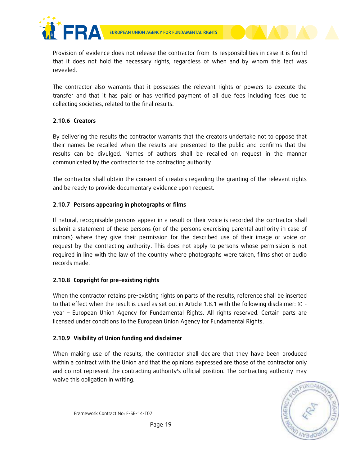

Provision of evidence does not release the contractor from its responsibilities in case it is found that it does not hold the necessary rights, regardless of when and by whom this fact was revealed.

The contractor also warrants that it possesses the relevant rights or powers to execute the transfer and that it has paid or has verified payment of all due fees including fees due to collecting societies, related to the final results.

### **2.10.6 Creators**

By delivering the results the contractor warrants that the creators undertake not to oppose that their names be recalled when the results are presented to the public and confirms that the results can be divulged. Names of authors shall be recalled on request in the manner communicated by the contractor to the contracting authority.

The contractor shall obtain the consent of creators regarding the granting of the relevant rights and be ready to provide documentary evidence upon request.

### **2.10.7 Persons appearing in photographs or films**

If natural, recognisable persons appear in a result or their voice is recorded the contractor shall submit a statement of these persons (or of the persons exercising parental authority in case of minors) where they give their permission for the described use of their image or voice on request by the contracting authority. This does not apply to persons whose permission is not required in line with the law of the country where photographs were taken, films shot or audio records made.

### **2.10.8 Copyright for pre-existing rights**

When the contractor retains pre**-**existing rights on parts of the results, reference shall be inserted to that effect when the result is used as set out in Article 1.8.1 with the following disclaimer: © year – European Union Agency for Fundamental Rights. All rights reserved. Certain parts are licensed under conditions to the European Union Agency for Fundamental Rights.

### **2.10.9 Visibility of Union funding and disclaimer**

When making use of the results, the contractor shall declare that they have been produced within a contract with the Union and that the opinions expressed are those of the contractor only and do not represent the contracting authority's official position. The contracting authority may waive this obligation in writing.

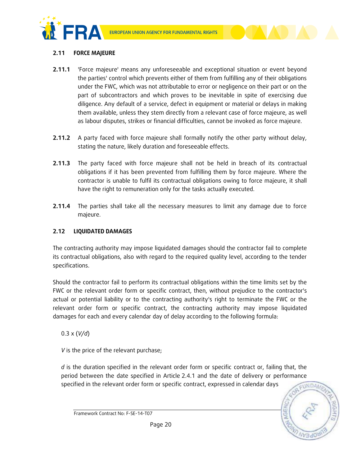



## **2.11 FORCE MAJEURE**

- **2.11.1** 'Force majeure' means any unforeseeable and exceptional situation or event beyond the parties' control which prevents either of them from fulfilling any of their obligations under the FWC, which was not attributable to error or negligence on their part or on the part of subcontractors and which proves to be inevitable in spite of exercising due diligence. Any default of a service, defect in equipment or material or delays in making them available, unless they stem directly from a relevant case of force majeure, as well as labour disputes, strikes or financial difficulties, cannot be invoked as force majeure.
- **2.11.2** A party faced with force majeure shall formally notify the other party without delay, stating the nature, likely duration and foreseeable effects.
- **2.11.3** The party faced with force majeure shall not be held in breach of its contractual obligations if it has been prevented from fulfilling them by force majeure. Where the contractor is unable to fulfil its contractual obligations owing to force majeure, it shall have the right to remuneration only for the tasks actually executed.
- **2.11.4** The parties shall take all the necessary measures to limit any damage due to force majeure.

## **2.12 LIQUIDATED DAMAGES**

The contracting authority may impose liquidated damages should the contractor fail to complete its contractual obligations, also with regard to the required quality level, according to the tender specifications.

Should the contractor fail to perform its contractual obligations within the time limits set by the FWC or the relevant order form or specific contract, then, without prejudice to the contractor's actual or potential liability or to the contracting authority's right to terminate the FWC or the relevant order form or specific contract, the contracting authority may impose liquidated damages for each and every calendar day of delay according to the following formula:

0.3 x (*V/d*)

*V* is the price of the relevant purchase;

*d* is the duration specified in the relevant order form or specific contract or, failing that, the period between the date specified in Article 2.4.1 and the date of delivery or performance specified in the relevant order form or specific contract, expressed in calendar days

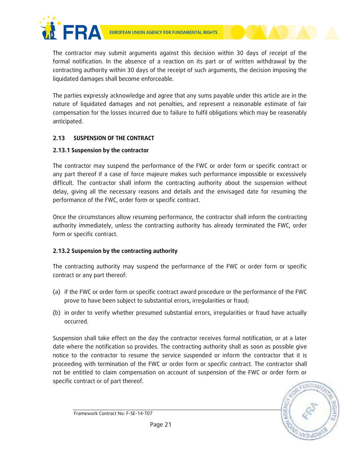



The contractor may submit arguments against this decision within 30 days of receipt of the formal notification. In the absence of a reaction on its part or of written withdrawal by the contracting authority within 30 days of the receipt of such arguments, the decision imposing the liquidated damages shall become enforceable.

The parties expressly acknowledge and agree that any sums payable under this article are in the nature of liquidated damages and not penalties, and represent a reasonable estimate of fair compensation for the losses incurred due to failure to fulfil obligations which may be reasonably anticipated.

### **2.13 SUSPENSION OF THE CONTRACT**

### **2.13.1 Suspension by the contractor**

The contractor may suspend the performance of the FWC or order form or specific contract or any part thereof if a case of force majeure makes such performance impossible or excessively difficult. The contractor shall inform the contracting authority about the suspension without delay, giving all the necessary reasons and details and the envisaged date for resuming the performance of the FWC, order form or specific contract.

Once the circumstances allow resuming performance, the contractor shall inform the contracting authority immediately, unless the contracting authority has already terminated the FWC, order form or specific contract.

## **2.13.2 Suspension by the contracting authority**

The contracting authority may suspend the performance of the FWC or order form or specific contract or any part thereof:

- (a) if the FWC or order form or specific contract award procedure or the performance of the FWC prove to have been subject to substantial errors, irregularities or fraud;
- (b) in order to verify whether presumed substantial errors, irregularities or fraud have actually occurred.

Suspension shall take effect on the day the contractor receives formal notification, or at a later date where the notification so provides. The contracting authority shall as soon as possible give notice to the contractor to resume the service suspended or inform the contractor that it is proceeding with termination of the FWC or order form or specific contract. The contractor shall not be entitled to claim compensation on account of suspension of the FWC or order form or specific contract or of part thereof.

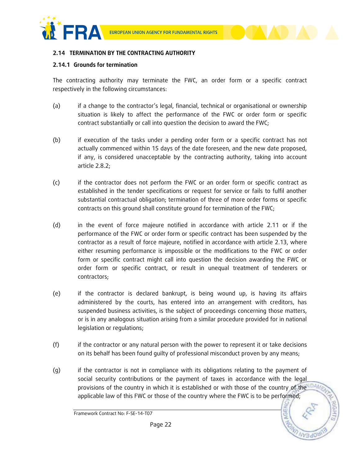



### **2.14 TERMINATION BY THE CONTRACTING AUTHORITY**

#### **2.14.1 Grounds for termination**

The contracting authority may terminate the FWC, an order form or a specific contract respectively in the following circumstances:

- (a) if a change to the contractor's legal, financial, technical or organisational or ownership situation is likely to affect the performance of the FWC or order form or specific contract substantially or call into question the decision to award the FWC;
- (b) if execution of the tasks under a pending order form or a specific contract has not actually commenced within 15 days of the date foreseen, and the new date proposed, if any, is considered unacceptable by the contracting authority, taking into account article 2.8.2;
- (c) if the contractor does not perform the FWC or an order form or specific contract as established in the tender specifications or request for service or fails to fulfil another substantial contractual obligation; termination of three of more order forms or specific contracts on this ground shall constitute ground for termination of the FWC;
- (d) in the event of force majeure notified in accordance with article 2.11 or if the performance of the FWC or order form or specific contract has been suspended by the contractor as a result of force majeure, notified in accordance with article 2.13, where either resuming performance is impossible or the modifications to the FWC or order form or specific contract might call into question the decision awarding the FWC or order form or specific contract, or result in unequal treatment of tenderers or contractors;
- (e) if the contractor is declared bankrupt, is being wound up, is having its affairs administered by the courts, has entered into an arrangement with creditors, has suspended business activities, is the subject of proceedings concerning those matters, or is in any analogous situation arising from a similar procedure provided for in national legislation or regulations;
- (f) if the contractor or any natural person with the power to represent it or take decisions on its behalf has been found guilty of professional misconduct proven by any means;
- (g) if the contractor is not in compliance with its obligations relating to the payment of social security contributions or the payment of taxes in accordance with the legal provisions of the country in which it is established or with those of the country of the DAM applicable law of this FWC or those of the country where the FWC is to be performed;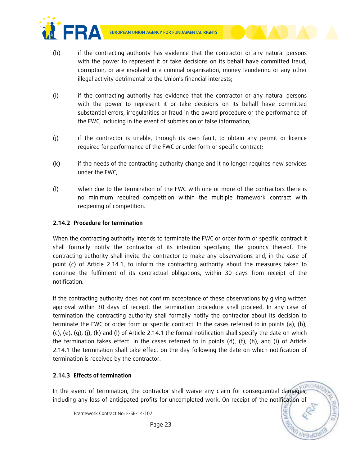

- (h) if the contracting authority has evidence that the contractor or any natural persons with the power to represent it or take decisions on its behalf have committed fraud, corruption, or are involved in a criminal organisation, money laundering or any other illegal activity detrimental to the Union's financial interests;
	- (i) if the contracting authority has evidence that the contractor or any natural persons with the power to represent it or take decisions on its behalf have committed substantial errors, irregularities or fraud in the award procedure or the performance of the FWC, including in the event of submission of false information;
	- (j) if the contractor is unable, through its own fault, to obtain any permit or licence required for performance of the FWC or order form or specific contract;
	- (k) if the needs of the contracting authority change and it no longer requires new services under the FWC;
	- (l) when due to the termination of the FWC with one or more of the contractors there is no minimum required competition within the multiple framework contract with reopening of competition.

## **2.14.2 Procedure for termination**

**FRA** 

When the contracting authority intends to terminate the FWC or order form or specific contract it shall formally notify the contractor of its intention specifying the grounds thereof. The contracting authority shall invite the contractor to make any observations and, in the case of point (c) of Article 2.14.1, to inform the contracting authority about the measures taken to continue the fulfilment of its contractual obligations, within 30 days from receipt of the notification.

If the contracting authority does not confirm acceptance of these observations by giving written approval within 30 days of receipt, the termination procedure shall proceed. In any case of termination the contracting authority shall formally notify the contractor about its decision to terminate the FWC or order form or specific contract. In the cases referred to in points (a), (b),  $(c)$ ,  $(e)$ ,  $(g)$ ,  $(j)$ ,  $(k)$  and  $(l)$  of Article 2.14.1 the formal notification shall specify the date on which the termination takes effect. In the cases referred to in points (d), (f), (h), and (i) of Article 2.14.1 the termination shall take effect on the day following the date on which notification of termination is received by the contractor.

## **2.14.3 Effects of termination**

In the event of termination, the contractor shall waive any claim for consequential damages, including any loss of anticipated profits for uncompleted work. On receipt of the notification of

Framework Contract No: F-SE-14-T07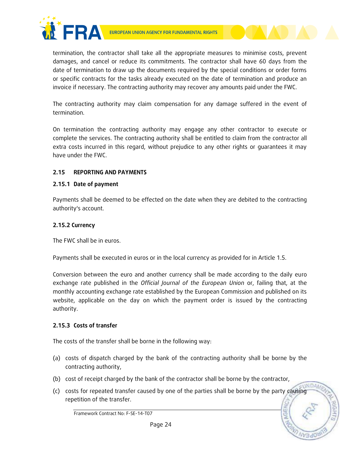



termination, the contractor shall take all the appropriate measures to minimise costs, prevent damages, and cancel or reduce its commitments. The contractor shall have 60 days from the date of termination to draw up the documents required by the special conditions or order forms or specific contracts for the tasks already executed on the date of termination and produce an invoice if necessary. The contracting authority may recover any amounts paid under the FWC.

The contracting authority may claim compensation for any damage suffered in the event of termination.

On termination the contracting authority may engage any other contractor to execute or complete the services. The contracting authority shall be entitled to claim from the contractor all extra costs incurred in this regard, without prejudice to any other rights or guarantees it may have under the FWC.

## **2.15 REPORTING AND PAYMENTS**

### **2.15.1 Date of payment**

Payments shall be deemed to be effected on the date when they are debited to the contracting authority's account.

### **2.15.2 Currency**

The FWC shall be in euros.

Payments shall be executed in euros or in the local currency as provided for in Article 1.5.

Conversion between the euro and another currency shall be made according to the daily euro exchange rate published in the *Official Journal of the European Union* or, failing that, at the monthly accounting exchange rate established by the European Commission and published on its website, applicable on the day on which the payment order is issued by the contracting authority.

### **2.15.3 Costs of transfer**

The costs of the transfer shall be borne in the following way:

- (a) costs of dispatch charged by the bank of the contracting authority shall be borne by the contracting authority,
- (b) cost of receipt charged by the bank of the contractor shall be borne by the contractor,
- **UNDA** (c) costs for repeated transfer caused by one of the parties shall be borne by the party causing repetition of the transfer.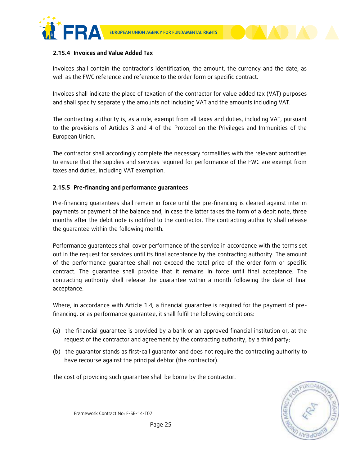



### **2.15.4 Invoices and Value Added Tax**

Invoices shall contain the contractor's identification, the amount, the currency and the date, as well as the FWC reference and reference to the order form or specific contract.

Invoices shall indicate the place of taxation of the contractor for value added tax (VAT) purposes and shall specify separately the amounts not including VAT and the amounts including VAT.

The contracting authority is, as a rule, exempt from all taxes and duties, including VAT, pursuant to the provisions of Articles 3 and 4 of the Protocol on the Privileges and Immunities of the European Union.

The contractor shall accordingly complete the necessary formalities with the relevant authorities to ensure that the supplies and services required for performance of the FWC are exempt from taxes and duties, including VAT exemption.

### **2.15.5 Pre-financing and performance guarantees**

Pre-financing guarantees shall remain in force until the pre-financing is cleared against interim payments or payment of the balance and, in case the latter takes the form of a debit note, three months after the debit note is notified to the contractor. The contracting authority shall release the guarantee within the following month.

Performance guarantees shall cover performance of the service in accordance with the terms set out in the request for services until its final acceptance by the contracting authority. The amount of the performance guarantee shall not exceed the total price of the order form or specific contract. The guarantee shall provide that it remains in force until final acceptance. The contracting authority shall release the guarantee within a month following the date of final acceptance.

Where, in accordance with Article 1.4*,* a financial guarantee is required for the payment of prefinancing, or as performance guarantee, it shall fulfil the following conditions:

- (a) the financial guarantee is provided by a bank or an approved financial institution or, at the request of the contractor and agreement by the contracting authority, by a third party;
- (b) the guarantor stands as first-call guarantor and does not require the contracting authority to have recourse against the principal debtor (the contractor).

The cost of providing such guarantee shall be borne by the contractor.

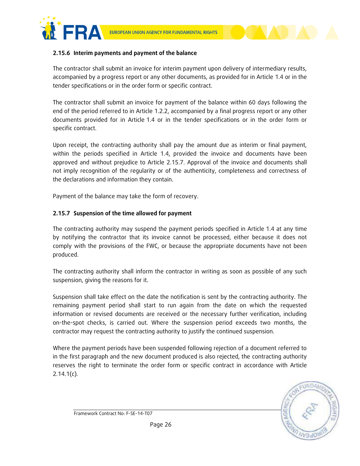



### **2.15.6 Interim payments and payment of the balance**

The contractor shall submit an invoice for interim payment upon delivery of intermediary results, accompanied by a progress report or any other documents, as provided for in Article 1.4 or in the tender specifications or in the order form or specific contract.

The contractor shall submit an invoice for payment of the balance within 60 days following the end of the period referred to in Article 1.2.2, accompanied by a final progress report or any other documents provided for in Article 1.4 or in the tender specifications or in the order form or specific contract.

Upon receipt, the contracting authority shall pay the amount due as interim or final payment, within the periods specified in Article 1.4, provided the invoice and documents have been approved and without prejudice to Article 2.15.7. Approval of the invoice and documents shall not imply recognition of the regularity or of the authenticity, completeness and correctness of the declarations and information they contain.

Payment of the balance may take the form of recovery.

### **2.15.7 Suspension of the time allowed for payment**

The contracting authority may suspend the payment periods specified in Article 1.4 at any time by notifying the contractor that its invoice cannot be processed, either because it does not comply with the provisions of the FWC, or because the appropriate documents have not been produced.

The contracting authority shall inform the contractor in writing as soon as possible of any such suspension, giving the reasons for it.

Suspension shall take effect on the date the notification is sent by the contracting authority. The remaining payment period shall start to run again from the date on which the requested information or revised documents are received or the necessary further verification, including on-the-spot checks, is carried out. Where the suspension period exceeds two months, the contractor may request the contracting authority to justify the continued suspension.

Where the payment periods have been suspended following rejection of a document referred to in the first paragraph and the new document produced is also rejected, the contracting authority reserves the right to terminate the order form or specific contract in accordance with Article 2.14.1(c)*.*

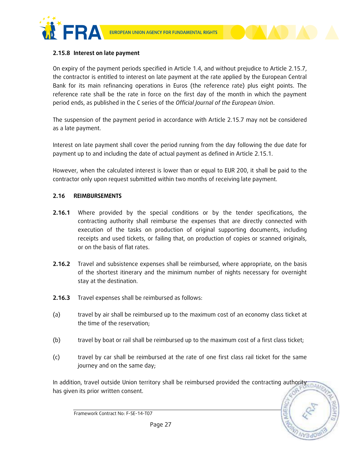



#### **2.15.8 Interest on late payment**

On expiry of the payment periods specified in Article 1.4, and without prejudice to Article 2.15.7, the contractor is entitled to interest on late payment at the rate applied by the European Central Bank for its main refinancing operations in Euros (the reference rate) plus eight points. The reference rate shall be the rate in force on the first day of the month in which the payment period ends, as published in the C series of the *Official Journal of the European Union*.

The suspension of the payment period in accordance with Article 2.15.7 may not be considered as a late payment.

Interest on late payment shall cover the period running from the day following the due date for payment up to and including the date of actual payment as defined in Article 2.15.1.

However, when the calculated interest is lower than or equal to EUR 200, it shall be paid to the contractor only upon request submitted within two months of receiving late payment.

#### **2.16 REIMBURSEMENTS**

- **2.16.1** Where provided by the special conditions or by the tender specifications, the contracting authority shall reimburse the expenses that are directly connected with execution of the tasks on production of original supporting documents, including receipts and used tickets, or failing that, on production of copies or scanned originals, or on the basis of flat rates.
- **2.16.2** Travel and subsistence expenses shall be reimbursed, where appropriate, on the basis of the shortest itinerary and the minimum number of nights necessary for overnight stay at the destination.
- **2.16.3** Travel expenses shall be reimbursed as follows:
- (a) travel by air shall be reimbursed up to the maximum cost of an economy class ticket at the time of the reservation;
- (b) travel by boat or rail shall be reimbursed up to the maximum cost of a first class ticket;
- (c) travel by car shall be reimbursed at the rate of one first class rail ticket for the same journey and on the same day;

In addition, travel outside Union territory shall be reimbursed provided the contracting authority has given its prior written consent.



Framework Contract No: F-SE-14-T07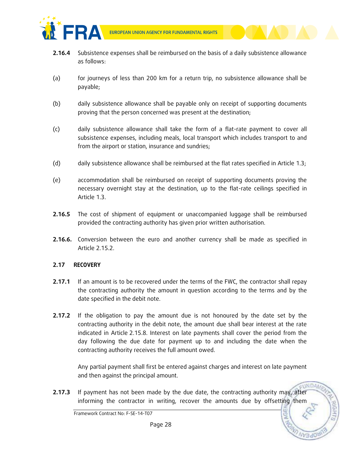

- **2.16.4** Subsistence expenses shall be reimbursed on the basis of a daily subsistence allowance as follows:
- (a) for journeys of less than 200 km for a return trip, no subsistence allowance shall be payable;
- (b) daily subsistence allowance shall be payable only on receipt of supporting documents proving that the person concerned was present at the destination;
- (c) daily subsistence allowance shall take the form of a flat-rate payment to cover all subsistence expenses, including meals, local transport which includes transport to and from the airport or station, insurance and sundries;
- (d) daily subsistence allowance shall be reimbursed at the flat rates specified in Article 1.3;
- (e) accommodation shall be reimbursed on receipt of supporting documents proving the necessary overnight stay at the destination, up to the flat-rate ceilings specified in Article 1.3.
- **2.16.5** The cost of shipment of equipment or unaccompanied luggage shall be reimbursed provided the contracting authority has given prior written authorisation.
- **2.16.6.** Conversion between the euro and another currency shall be made as specified in Article 2.15.2.

### **2.17 RECOVERY**

- **2.17.1** If an amount is to be recovered under the terms of the FWC, the contractor shall repay the contracting authority the amount in question according to the terms and by the date specified in the debit note.
- **2.17.2** If the obligation to pay the amount due is not honoured by the date set by the contracting authority in the debit note, the amount due shall bear interest at the rate indicated in Article 2.15.8. Interest on late payments shall cover the period from the day following the due date for payment up to and including the date when the contracting authority receives the full amount owed.

Any partial payment shall first be entered against charges and interest on late payment and then against the principal amount.

**2.17.3** If payment has not been made by the due date, the contracting authority may, after informing the contractor in writing, recover the amounts due by offsetting them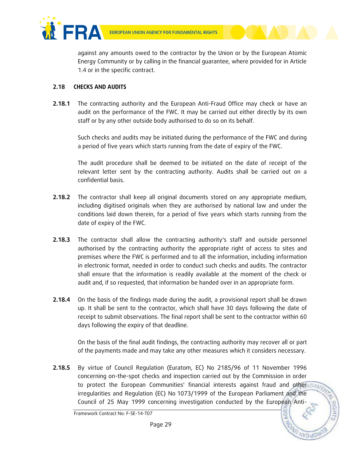

against any amounts owed to the contractor by the Union or by the European Atomic Energy Community or by calling in the financial guarantee, where provided for in Article 1.4 or in the specific contract.

### **2.18 CHECKS AND AUDITS**

**2.18.1** The contracting authority and the European Anti-Fraud Office may check or have an audit on the performance of the FWC. It may be carried out either directly by its own staff or by any other outside body authorised to do so on its behalf.

Such checks and audits may be initiated during the performance of the FWC and during a period of five years which starts running from the date of expiry of the FWC.

The audit procedure shall be deemed to be initiated on the date of receipt of the relevant letter sent by the contracting authority. Audits shall be carried out on a confidential basis.

- **2.18.2** The contractor shall keep all original documents stored on any appropriate medium, including digitised originals when they are authorised by national law and under the conditions laid down therein, for a period of five years which starts running from the date of expiry of the FWC.
- 2.18.3 The contractor shall allow the contracting authority's staff and outside personnel authorised by the contracting authority the appropriate right of access to sites and premises where the FWC is performed and to all the information, including information in electronic format, needed in order to conduct such checks and audits. The contractor shall ensure that the information is readily available at the moment of the check or audit and, if so requested, that information be handed over in an appropriate form.
- **2.18.4** On the basis of the findings made during the audit, a provisional report shall be drawn up. It shall be sent to the contractor, which shall have 30 days following the date of receipt to submit observations. The final report shall be sent to the contractor within 60 days following the expiry of that deadline.

On the basis of the final audit findings, the contracting authority may recover all or part of the payments made and may take any other measures which it considers necessary.

**2.18.5** By virtue of Council Regulation (Euratom, EC) No 2185/96 of 11 November 1996 concerning on-the-spot checks and inspection carried out by the Commission in order to protect the European Communities' financial interests against fraud and other DAM irregularities and Regulation (EC) No 1073/1999 of the European Parliament and the Council of 25 May 1999 concerning investigation conducted by the European Anti-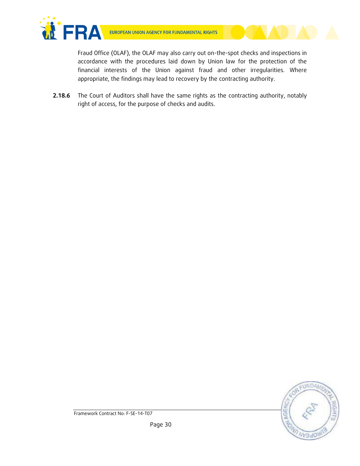

Fraud Office (OLAF), the OLAF may also carry out on-the-spot checks and inspections in accordance with the procedures laid down by Union law for the protection of the financial interests of the Union against fraud and other irregularities. Where appropriate, the findings may lead to recovery by the contracting authority.

**2.18.6** The Court of Auditors shall have the same rights as the contracting authority, notably right of access, for the purpose of checks and audits.

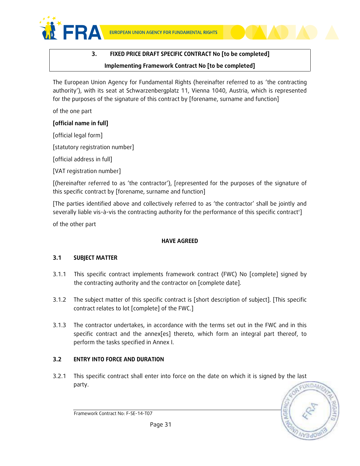



The European Union Agency for Fundamental Rights (hereinafter referred to as 'the contracting authority'), with its seat at Schwarzenbergplatz 11, Vienna 1040, Austria, which is represented for the purposes of the signature of this contract by [forename, surname and function]

of the one part

## **[official name in full]**

[official legal form]

[statutory registration number]

[official address in full]

[VAT registration number]

[(hereinafter referred to as 'the contractor'), [represented for the purposes of the signature of this specific contract by [forename, surname and function]

[The parties identified above and collectively referred to as 'the contractor' shall be jointly and severally liable vis-à-vis the contracting authority for the performance of this specific contract']

of the other part

## **HAVE AGREED**

## **3.1 SUBJECT MATTER**

- 3.1.1 This specific contract implements framework contract (FWC) No [complete] signed by the contracting authority and the contractor on [complete date].
- 3.1.2 The subject matter of this specific contract is [short description of subject]. [This specific contract relates to lot [complete] of the FWC.]
- 3.1.3 The contractor undertakes, in accordance with the terms set out in the FWC and in this specific contract and the annex[es] thereto, which form an integral part thereof, to perform the tasks specified in Annex I.

## **3.2 ENTRY INTO FORCE AND DURATION**

3.2.1 This specific contract shall enter into force on the date on which it is signed by the last party.

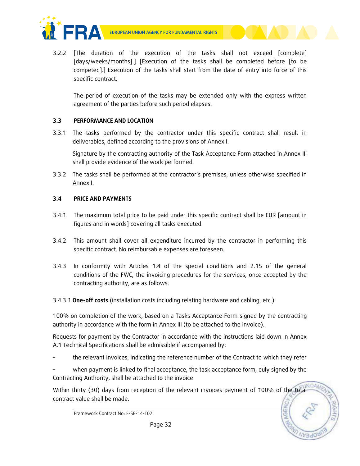



3.2.2 [The duration of the execution of the tasks shall not exceed [complete] [days/weeks/months].] [Execution of the tasks shall be completed before [to be competed].] Execution of the tasks shall start from the date of entry into force of this specific contract.

The period of execution of the tasks may be extended only with the express written agreement of the parties before such period elapses.

# **3.3 PERFORMANCE AND LOCATION**

3.3.1 The tasks performed by the contractor under this specific contract shall result in deliverables, defined according to the provisions of Annex I.

Signature by the contracting authority of the Task Acceptance Form attached in Annex III shall provide evidence of the work performed.

3.3.2 The tasks shall be performed at the contractor's premises, unless otherwise specified in Annex I.

# **3.4 PRICE AND PAYMENTS**

- 3.4.1 The maximum total price to be paid under this specific contract shall be EUR [amount in figures and in words] covering all tasks executed.
- 3.4.2 This amount shall cover all expenditure incurred by the contractor in performing this specific contract. No reimbursable expenses are foreseen.
- 3.4.3 In conformity with Articles 1.4 of the special conditions and 2.15 of the general conditions of the FWC, the invoicing procedures for the services, once accepted by the contracting authority, are as follows:
- 3.4.3.1 **One-off costs** (installation costs including relating hardware and cabling, etc.):

100% on completion of the work, based on a Tasks Acceptance Form signed by the contracting authority in accordance with the form in Annex III (to be attached to the invoice).

Requests for payment by the Contractor in accordance with the instructions laid down in Annex A.1 Technical Specifications shall be admissible if accompanied by:

– the relevant invoices, indicating the reference number of the Contract to which they refer

– when payment is linked to final acceptance, the task acceptance form, duly signed by the Contracting Authority, shall be attached to the invoice

Within thirty (30) days from reception of the relevant invoices payment of 100% of the total contract value shall be made.

Framework Contract No: F-SE-14-T07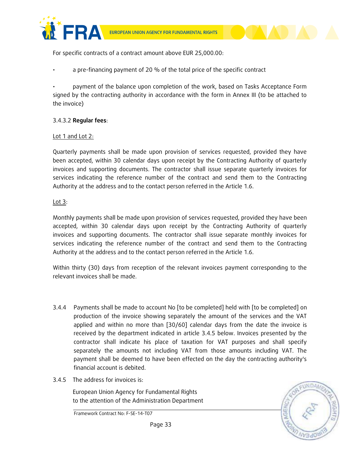





For specific contracts of a contract amount above EUR 25,000.00:

• a pre-financing payment of 20 % of the total price of the specific contract

• payment of the balance upon completion of the work, based on Tasks Acceptance Form signed by the contracting authority in accordance with the form in Annex III (to be attached to the invoice)

### 3.4.3.2 **Regular fees**:

### Lot 1 and Lot 2:

Quarterly payments shall be made upon provision of services requested, provided they have been accepted, within 30 calendar days upon receipt by the Contracting Authority of quarterly invoices and supporting documents. The contractor shall issue separate quarterly invoices for services indicating the reference number of the contract and send them to the Contracting Authority at the address and to the contact person referred in the Article 1.6.

### Lot 3:

Monthly payments shall be made upon provision of services requested, provided they have been accepted, within 30 calendar days upon receipt by the Contracting Authority of quarterly invoices and supporting documents. The contractor shall issue separate monthly invoices for services indicating the reference number of the contract and send them to the Contracting Authority at the address and to the contact person referred in the Article 1.6.

Within thirty (30) days from reception of the relevant invoices payment corresponding to the relevant invoices shall be made.

- 3.4.4 Payments shall be made to account No [to be completed] held with [to be completed] on production of the invoice showing separately the amount of the services and the VAT applied and within no more than [30/60] calendar days from the date the invoice is received by the department indicated in article 3.4.5 below. Invoices presented by the contractor shall indicate his place of taxation for VAT purposes and shall specify separately the amounts not including VAT from those amounts including VAT. The payment shall be deemed to have been effected on the day the contracting authority's financial account is debited.
- 3.4.5 The address for invoices is:

European Union Agency for Fundamental Rights to the attention of the Administration Department

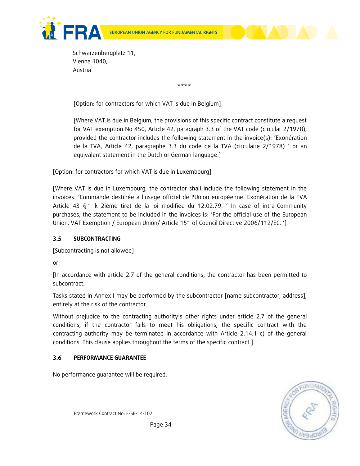





Schwarzenbergplatz 11, Vienna 1040, Austria

\*\*\*\*

[Option: for contractors for which VAT is due in Belgium]

[Where VAT is due in Belgium, the provisions of this specific contract constitute a request for VAT exemption No 450, Article 42, paragraph 3.3 of the VAT code (circular 2/1978), provided the contractor includes the following statement in the invoice(s): 'Exonération de la TVA, Article 42, paragraphe 3.3 du code de la TVA (circulaire 2/1978) ' or an equivalent statement in the Dutch or German language.]

[Option: for contractors for which VAT is due in Luxembourg]

[Where VAT is due in Luxembourg, the contractor shall include the following statement in the invoices: 'Commande destinée à l'usage officiel de l'Union européenne. Exonération de la TVA Article 43 § 1 k 2ième tiret de la loi modifiée du 12.02.79. ' In case of intra-Community purchases, the statement to be included in the invoices is: 'For the official use of the European Union. VAT Exemption / European Union/ Article 151 of Council Directive 2006/112/EC. ']

# **3.5 SUBCONTRACTING**

[Subcontracting is not allowed]

or

[In accordance with article 2.7 of the general conditions, the contractor has been permitted to subcontract.

Tasks stated in Annex I may be performed by the subcontractor [name subcontractor, address], entirely at the risk of the contractor.

Without prejudice to the contracting authority's other rights under article 2.7 of the general conditions, if the contractor fails to meet his obligations, the specific contract with the contracting authority may be terminated in accordance with Article 2.14.1 c) of the general conditions. This clause applies throughout the terms of the specific contract.]

# **3.6 PERFORMANCE GUARANTEE**

No performance guarantee will be required.

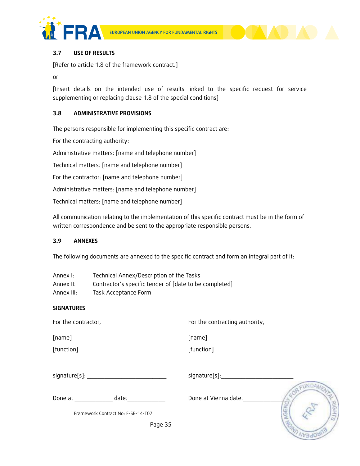



### **3.7 USE OF RESULTS**

[Refer to article 1.8 of the framework contract.]

or

[Insert details on the intended use of results linked to the specific request for service supplementing or replacing clause 1.8 of the special conditions]

### **3.8 ADMINISTRATIVE PROVISIONS**

The persons responsible for implementing this specific contract are:

For the contracting authority:

Administrative matters: [name and telephone number]

Technical matters: [name and telephone number]

For the contractor: [name and telephone number]

Administrative matters: [name and telephone number]

Technical matters: [name and telephone number]

All communication relating to the implementation of this specific contract must be in the form of written correspondence and be sent to the appropriate responsible persons.

#### **3.9 ANNEXES**

The following documents are annexed to the specific contract and form an integral part of it:

| Annex I:   | Technical Annex/Description of the Tasks               |
|------------|--------------------------------------------------------|
| Annex II:  | Contractor's specific tender of [date to be completed] |
| Annex III: | Task Acceptance Form                                   |

#### **SIGNATURES**

For the contractor, The contracting authority,

[name]

[function]

[name] [function]

Done at \_\_\_\_\_\_\_\_\_\_\_\_\_\_\_ date:

Done at Vienna date:

signature[s]:\_\_\_\_\_\_\_\_\_\_\_\_\_\_\_\_\_\_\_\_\_

EUNDA

Framework Contract No: F-SE-14-T07

Page 35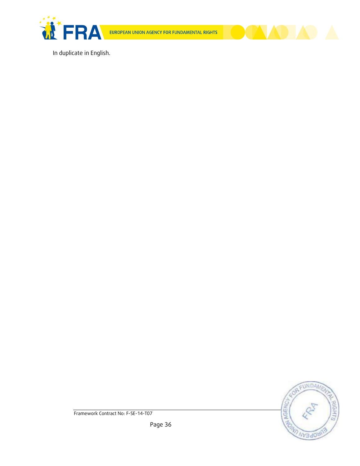

EUROPEAN UNION AGENCY FOR FUNDAMENTAL RIGHTS



In duplicate in English.

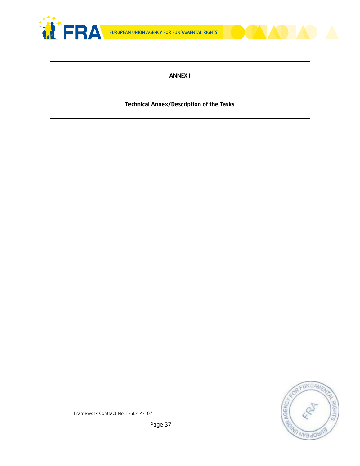



### **ANNEX I**

## **Technical Annex/Description of the Tasks**

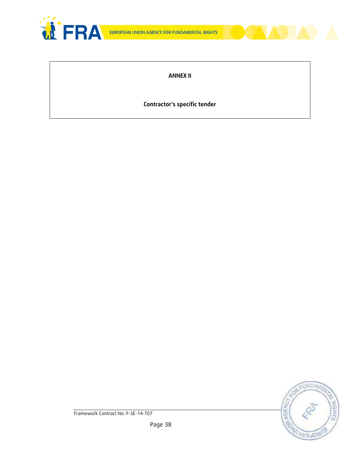



### **ANNEX II**

### **Contractor's specific tender**

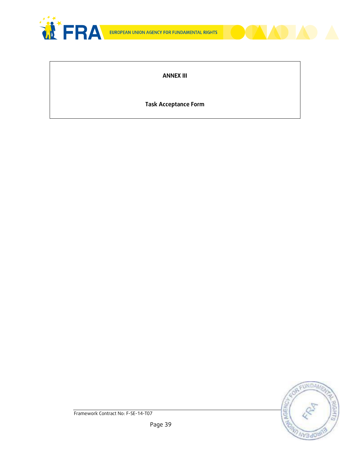



**ANNEX III**

**Task Acceptance Form**

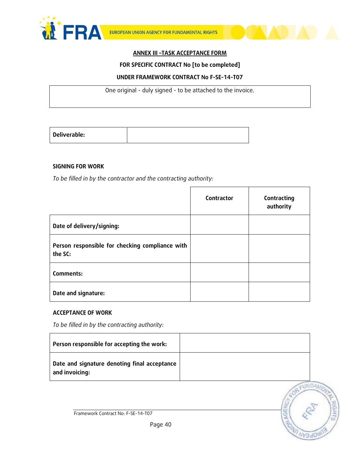



### **ANNEX III –TASK ACCEPTANCE FORM**

#### **FOR SPECIFIC CONTRACT No [to be completed]**

#### **UNDER FRAMEWORK CONTRACT No F-SE-14-T07**

One original - duly signed - to be attached to the invoice.

| Deliverable: |  |
|--------------|--|

#### **SIGNING FOR WORK**

*To be filled in by the contractor and the contracting authority:*

|                                                            | Contractor | Contracting<br>authority |
|------------------------------------------------------------|------------|--------------------------|
| Date of delivery/signing:                                  |            |                          |
| Person responsible for checking compliance with<br>the SC: |            |                          |
| Comments:                                                  |            |                          |
| Date and signature:                                        |            |                          |

Г

#### **ACCEPTANCE OF WORK**

*To be filled in by the contracting authority:*

| Person responsible for accepting the work:                     |  |
|----------------------------------------------------------------|--|
| Date and signature denoting final acceptance<br>and invoicing: |  |

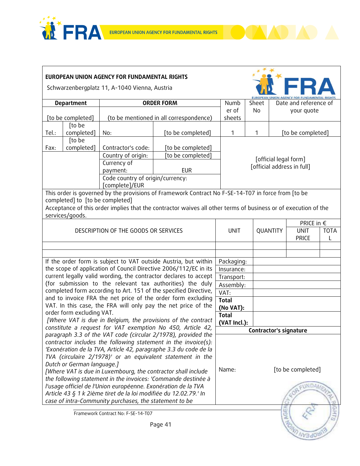





**FORD NV3d08(13** 

Schwarzenbergplatz 11, A-1040 Vienna, Austria

| <b>Department</b>                                                                                                              |                                                               | <b>ORDER FORM</b>                    |                                                                                                                | Numb                   | Sheet                      |          | Date and reference of       |                  |  |  |
|--------------------------------------------------------------------------------------------------------------------------------|---------------------------------------------------------------|--------------------------------------|----------------------------------------------------------------------------------------------------------------|------------------------|----------------------------|----------|-----------------------------|------------------|--|--|
|                                                                                                                                |                                                               |                                      |                                                                                                                | er of                  | <b>No</b>                  |          | your quote                  |                  |  |  |
|                                                                                                                                | [to be completed]                                             |                                      | (to be mentioned in all correspondence)                                                                        | sheets                 |                            |          |                             |                  |  |  |
|                                                                                                                                | [to be                                                        |                                      |                                                                                                                |                        |                            |          |                             |                  |  |  |
| Tel.:                                                                                                                          | completed]                                                    | No:                                  | [to be completed]                                                                                              | 1                      | 1                          |          | [to be completed]           |                  |  |  |
|                                                                                                                                | [to be                                                        |                                      |                                                                                                                |                        |                            |          |                             |                  |  |  |
|                                                                                                                                | completed]<br>Contractor's code:<br>[to be completed]<br>Fax: |                                      |                                                                                                                |                        |                            |          |                             |                  |  |  |
| Country of origin:<br>[to be completed]                                                                                        |                                                               |                                      |                                                                                                                | [official legal form]  |                            |          |                             |                  |  |  |
|                                                                                                                                |                                                               | Currency of                          |                                                                                                                |                        | [official address in full] |          |                             |                  |  |  |
|                                                                                                                                |                                                               | payment:                             | <b>EUR</b>                                                                                                     |                        |                            |          |                             |                  |  |  |
|                                                                                                                                |                                                               | Code country of origin/currency:     |                                                                                                                |                        |                            |          |                             |                  |  |  |
|                                                                                                                                |                                                               | [complete]/EUR                       |                                                                                                                |                        |                            |          |                             |                  |  |  |
|                                                                                                                                |                                                               |                                      | This order is governed by the provisions of Framework Contract No F-SE-14-T07 in force from [to be             |                        |                            |          |                             |                  |  |  |
|                                                                                                                                | completed] to [to be completed]                               |                                      |                                                                                                                |                        |                            |          |                             |                  |  |  |
|                                                                                                                                |                                                               |                                      | Acceptance of this order implies that the contractor waives all other terms of business or of execution of the |                        |                            |          |                             |                  |  |  |
|                                                                                                                                | services/goods.                                               |                                      |                                                                                                                |                        |                            |          |                             |                  |  |  |
|                                                                                                                                |                                                               | DESCRIPTION OF THE GOODS OR SERVICES |                                                                                                                |                        |                            |          | PRICE in $\epsilon$         |                  |  |  |
|                                                                                                                                |                                                               |                                      |                                                                                                                | <b>UNIT</b>            |                            | QUANTITY | <b>UNIT</b><br><b>PRICE</b> | <b>TOTA</b><br>L |  |  |
|                                                                                                                                |                                                               |                                      |                                                                                                                |                        |                            |          |                             |                  |  |  |
|                                                                                                                                |                                                               |                                      |                                                                                                                |                        |                            |          |                             |                  |  |  |
|                                                                                                                                |                                                               |                                      | If the order form is subject to VAT outside Austria, but within                                                | Packaging:             |                            |          |                             |                  |  |  |
|                                                                                                                                |                                                               |                                      | the scope of application of Council Directive 2006/112/EC in its                                               | Insurance:             |                            |          |                             |                  |  |  |
|                                                                                                                                |                                                               |                                      | current legally valid wording, the contractor declares to accept                                               | Transport:             |                            |          |                             |                  |  |  |
|                                                                                                                                |                                                               |                                      | (for submission to the relevant tax authorities) the duly                                                      | Assembly:              |                            |          |                             |                  |  |  |
|                                                                                                                                |                                                               |                                      | completed form according to Art. 151 of the specified Directive,                                               | VAT:                   |                            |          |                             |                  |  |  |
|                                                                                                                                |                                                               |                                      | and to invoice FRA the net price of the order form excluding                                                   | <b>Total</b>           |                            |          |                             |                  |  |  |
|                                                                                                                                |                                                               |                                      | VAT. In this case, the FRA will only pay the net price of the                                                  | (No VAT):              |                            |          |                             |                  |  |  |
| order form excluding VAT.                                                                                                      |                                                               |                                      | <b>Total</b>                                                                                                   |                        |                            |          |                             |                  |  |  |
| [Where VAT is due in Belgium, the provisions of the contract                                                                   |                                                               |                                      | (VAT Incl.):                                                                                                   |                        |                            |          |                             |                  |  |  |
|                                                                                                                                |                                                               |                                      | constitute a request for VAT exemption No 450, Article 42,                                                     | Contractor's signature |                            |          |                             |                  |  |  |
|                                                                                                                                |                                                               |                                      | paragraph 3.3 of the VAT code (circular 2/1978), provided the                                                  |                        |                            |          |                             |                  |  |  |
|                                                                                                                                |                                                               |                                      | contractor includes the following statement in the invoice(s):                                                 |                        |                            |          |                             |                  |  |  |
| 'Exonération de la TVA, Article 42, paragraphe 3.3 du code de la<br>TVA (circulaire 2/1978)' or an equivalent statement in the |                                                               |                                      |                                                                                                                |                        |                            |          |                             |                  |  |  |
|                                                                                                                                |                                                               |                                      |                                                                                                                |                        |                            |          |                             |                  |  |  |
| Dutch or German language.]                                                                                                     |                                                               |                                      |                                                                                                                |                        | [to be completed]<br>Name: |          |                             |                  |  |  |
| [Where VAT is due in Luxembourg, the contractor shall include                                                                  |                                                               |                                      |                                                                                                                |                        |                            |          |                             |                  |  |  |
| the following statement in the invoices: 'Commande destinée à                                                                  |                                                               |                                      |                                                                                                                |                        |                            |          | CUNDAN                      |                  |  |  |
| l'usage officiel de l'Union européenne. Exonération de la TVA                                                                  |                                                               |                                      |                                                                                                                |                        |                            |          |                             |                  |  |  |
| Article 43 § 1 k 2ième tiret de la loi modifiée du 12.02.79.' In<br>case of intra-Community purchases, the statement to be     |                                                               |                                      |                                                                                                                |                        |                            |          |                             |                  |  |  |
|                                                                                                                                |                                                               |                                      |                                                                                                                |                        |                            |          |                             |                  |  |  |
|                                                                                                                                |                                                               | Framework Contract No: F-SE-14-T07   |                                                                                                                |                        |                            | ω        |                             | GH.              |  |  |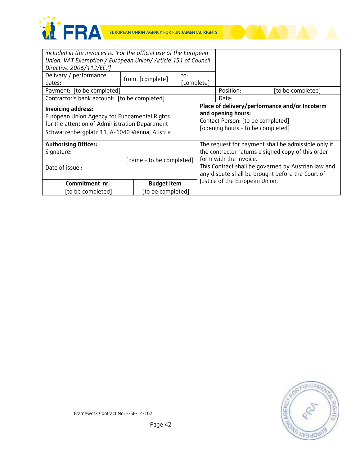



| included in the invoices is: 'For the official use of the European                              |  |                  |                                                                                                          |                                                                                                                                                                                         |           |  |                   |
|-------------------------------------------------------------------------------------------------|--|------------------|----------------------------------------------------------------------------------------------------------|-----------------------------------------------------------------------------------------------------------------------------------------------------------------------------------------|-----------|--|-------------------|
| Union. VAT Exemption / European Union/ Article 151 of Council                                   |  |                  |                                                                                                          |                                                                                                                                                                                         |           |  |                   |
| Directive 2006/112/EC.']                                                                        |  |                  |                                                                                                          |                                                                                                                                                                                         |           |  |                   |
| Delivery / performance                                                                          |  | from: [complete] | to:                                                                                                      |                                                                                                                                                                                         |           |  |                   |
| dates:                                                                                          |  |                  | [complete]                                                                                               |                                                                                                                                                                                         |           |  |                   |
| Payment: [to be completed]                                                                      |  |                  |                                                                                                          |                                                                                                                                                                                         | Position: |  | [to be completed] |
| Contractor's bank account: [to be completed]                                                    |  |                  |                                                                                                          |                                                                                                                                                                                         | Date:     |  |                   |
| Invoicing address:<br>European Union Agency for Fundamental Rights                              |  |                  | Place of delivery/performance and/or Incoterm<br>and opening hours:<br>Contact Person: [to be completed] |                                                                                                                                                                                         |           |  |                   |
| for the attention of Administration Department<br>Schwarzenbergplatz 11, A-1040 Vienna, Austria |  |                  | [opening hours - to be completed]                                                                        |                                                                                                                                                                                         |           |  |                   |
| <b>Authorising Officer:</b>                                                                     |  |                  | The request for payment shall be admissible only if                                                      |                                                                                                                                                                                         |           |  |                   |
| Signature:                                                                                      |  |                  |                                                                                                          | the contractor returns a signed copy of this order<br>form with the invoice.<br>This Contract shall be governed by Austrian law and<br>any dispute shall be brought before the Court of |           |  |                   |
| [name - to be completed]                                                                        |  |                  |                                                                                                          |                                                                                                                                                                                         |           |  |                   |
| Date of issue:                                                                                  |  |                  |                                                                                                          |                                                                                                                                                                                         |           |  |                   |
| Commitment nr.<br><b>Budget item</b>                                                            |  |                  |                                                                                                          | Justice of the European Union.                                                                                                                                                          |           |  |                   |
| [to be completed]<br>[to be completed]                                                          |  |                  |                                                                                                          |                                                                                                                                                                                         |           |  |                   |

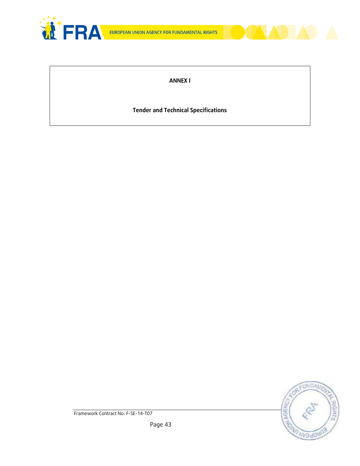



**ANNEX I**

**Tender and Technical Specifications**

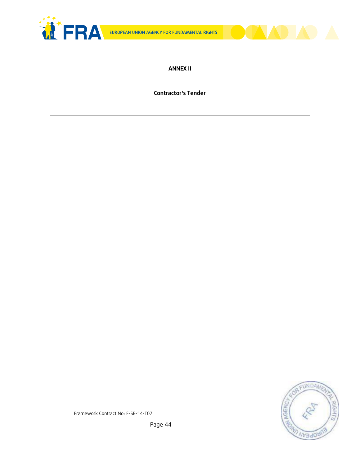



### **ANNEX II**

**Contractor's Tender**

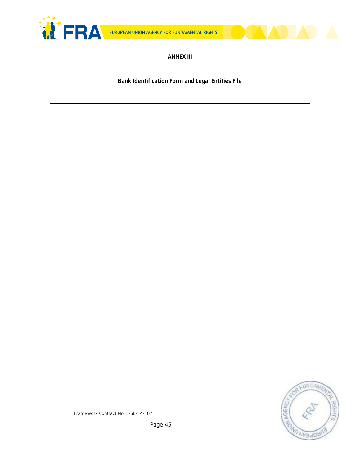



#### **ANNEX III**

**Bank Identification Form and Legal Entities File**